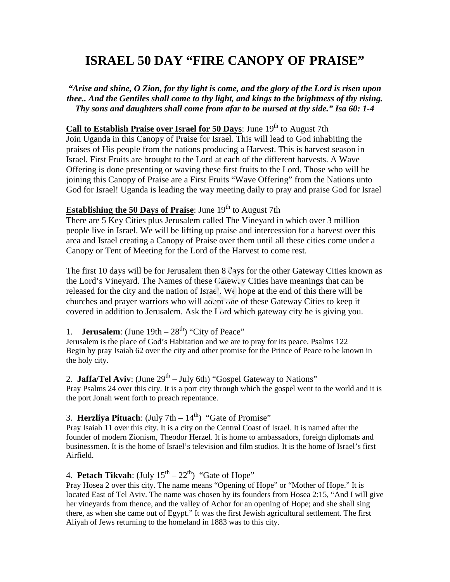# **ISRAEL 50 DAY "FIRE CANOPY OF PRAISE"**

*"Arise and shine, O Zion, for thy light is come, and the glory of the Lord is risen upon thee.. And the Gentiles shall come to thy light, and kings to the brightness of thy rising. Thy sons and daughters shall come from afar to be nursed at thy side." Isa 60: 1-4* 

## **Call to Establish Praise over Israel for 50 Days:** June 19<sup>th</sup> to August 7th

Join Uganda in this Canopy of Praise for Israel. This will lead to God inhabiting the praises of His people from the nations producing a Harvest. This is harvest season in Israel. First Fruits are brought to the Lord at each of the different harvests. A Wave Offering is done presenting or waving these first fruits to the Lord. Those who will be joining this Canopy of Praise are a First Fruits "Wave Offering" from the Nations unto God for Israel! Uganda is leading the way meeting daily to pray and praise God for Israel

### **Establishing the 50 Days of Praise:** June 19<sup>th</sup> to August 7th

There are 5 Key Cities plus Jerusalem called The Vineyard in which over 3 million people live in Israel. We will be lifting up praise and intercession for a harvest over this area and Israel creating a Canopy of Praise over them until all these cities come under a Canopy or Tent of Meeting for the Lord of the Harvest to come rest.

The first 10 days will be for Jerusalem then 8 Cays for the other Gateway Cities known as the Lord's Vineyard. The Names of these Cateway V Cities have meanings that can be released for the city and the nation of Israe'. the Lord's Vineyard. The Names of these  $Cae$ <sub>v</sub>, v Cities have meanings that can be released for the city and the nation of Israe'. We hope at the end of this there will be churches and prayer warriors who will adopt one of these Gateway Cities to keep it covered in addition to Jerusalem. Ask the Lord which gateway city he is giving you.

1. **Jerusalem**: (June  $19th - 28<sup>th</sup>$ ) "City of Peace"

Jerusalem is the place of God's Habitation and we are to pray for its peace. Psalms 122 Begin by pray Isaiah 62 over the city and other promise for the Prince of Peace to be known in the holy city.

## 2. **Jaffa/Tel Aviv**: (June  $29<sup>th</sup> - July 6th$ ) "Gospel Gateway to Nations"

Pray Psalms 24 over this city. It is a port city through which the gospel went to the world and it is the port Jonah went forth to preach repentance.

#### 3. **Herzliya Pituach**: (July 7th  $-14<sup>th</sup>$ ) "Gate of Promise"

Pray Isaiah 11 over this city. It is a city on the Central Coast of Israel. It is named after the founder of modern Zionism, Theodor Herzel. It is home to ambassadors, foreign diplomats and businessmen. It is the home of Israel's television and film studios. It is the home of Israel's first Airfield.

# 4. **Petach Tikvah**: (July  $15^{th} - 22^{th}$ ) "Gate of Hope"

Pray Hosea 2 over this city. The name means "Opening of Hope" or "Mother of Hope." It is located East of Tel Aviv. The name was chosen by its founders from Hosea 2:15, "And I will give her vineyards from thence, and the valley of Achor for an opening of Hope; and she shall sing there, as when she came out of Egypt." It was the first Jewish agricultural settlement. The first Aliyah of Jews returning to the homeland in 1883 was to this city.